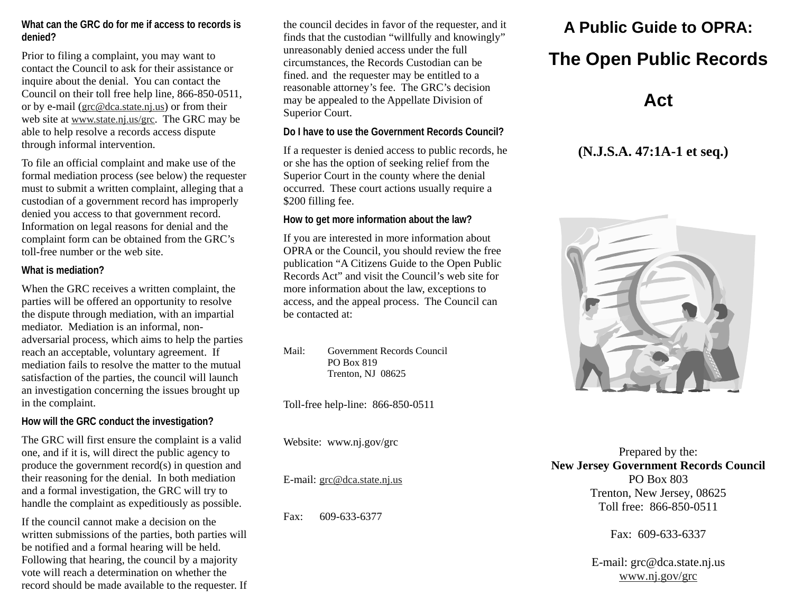#### **What can the GRC do for me if access to records is denied?**

Prior to filing a complaint, you may want to contact the Council to ask for their assistance or inquire about the denial. You can contact the Council on their toll free help line, 866-850-0511, or by e-mail (grc@dca.state.nj.us) or from their web site at www.state.nj.us/grc. The GRC may be able to help resolve a records access dispute through informal intervention.

To file an official complaint and make use of the formal mediation process (see below) the requester must to submit a written complaint, alleging that a custodian of a government record has improperly denied you access to that government record. Information on legal reasons for denial and the complaint form can be obtained from the GRC's toll-free number or the web site.

#### **What is mediation?**

When the GRC receives a written complaint, the parties will be offered an opportunity to resolve the dispute through mediation, with an impartial mediator. Mediation is an informal, nonadversarial process, which aims to help the parties reach an acceptable, voluntary agreement. If mediation fails to resolve the matter to the mutual satisfaction of the parties, the council will launch an investigation concerning the issues brought up in the complaint.

#### **How will the GRC conduct the investigation?**

The GRC will first ensure the complaint is a valid one, and if it is, will direct the public agency to produce the government record(s) in question and their reasoning for the denial. In both mediation and a formal investigation, the GRC will try to handle the complaint as expeditiously as possible.

If the council cannot make a decision on the written submissions of the parties, both parties will be notified and a formal hearing will be held. Following that hearing, the council by a majority vote will reach a determination on whether the record should be made available to the requester. If the council decides in favor of the requester, and it finds that the custodian "willfully and knowingly" unreasonably denied access under the full circumstances, the Records Custodian can be fined. and the requester may be entitled to a reasonable attorney's fee. The GRC's decision may be appealed to the Appellate Division of Superior Court.

#### **Do I have to use the Government Records Council?**

If a requester is denied access to public records, he or she has the option of seeking relief from the Superior Court in the county where the denial occurred. These court actions usually require a \$200 filling fee.

#### **How to get more information about the law?**

If you are interested in more information about OPRA or the Council, you should review the free publication "A Citizens Guide to the Open Public Records Act" and visit the Council's web site for more information about the law, exceptions to access, and the appeal process. The Council can be contacted at:

Mail: Government Records Council PO Box 819 Trenton, NJ 08625

Toll-free help-line: 866-850-0511

Website: www.nj.gov/grc

E-mail: g<u>rc@dca.state.nj.us</u>

Fax: 609-633-6377

# **A Public Guide to OPRA:**

## **The Open Public Records**

## **Act**

### **(N.J.S.A. 47:1A-1 et seq.)**



Prepared by the: **New Jersey Government Records Council**  PO Box 803 Trenton, New Jersey, 08625 Toll free: 866-850-0511

Fax: 609-633-6337

E-mail: grc@dca.state.nj.us www.nj.gov/grc